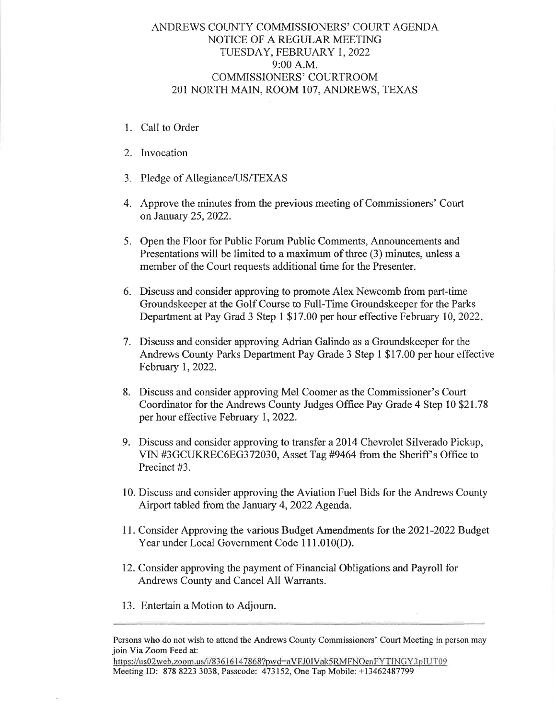## ANDREWS COUNTY COMMISSIONERS' COURT AGENDA NOTICE OF A REGULAR MEETING TUESDAY, FEBRUARY I, 2022 9:00 A.M. COMMISSIONERS' COURTROOM 201 NORTH MAIN, ROOM 107, ANDREWS, TEXAS

- 1. Call to Order
- 2. Invocation
- 3. Pledge of Allegiance/US/TEXAS
- 4. Approve the minutes from the previous meeting of Commissioners' Court on January 25,2022.
- 5. Open the Floor for Public Forum Public Comments, Announcements and Presentations will be limited to a maximum of three (3) minutes, unless a member of the Court requests additional time for the Presenter.
- 6. Discuss and consider approving to promote Alex Newcomb from part-time Groundskeeper at the Golf Course to Full-Time Groundskeeper for the Parks Department at Pay Grad 3 Step 1 \$17.00 per hour effective February 10, 2022.
- 7. Discuss and consider approving Adrian Galindo as a Groundskeeper for the Andrews County Parks Department Pay Grade 3 Step I \$17.00 per hour effective February 1,2022.
- 8. Discuss and consider approving Mel Coomer as the Commissioner's Court Coordinator for the Andrews County Judges Office Pay Grade 4 Step 10 \$21.78 per hour effective February 1,2022.
- 9. Discuss and consider approving to transfer a2014 Chevrolet Silverado Pickup, VIN #3GCUKREC6EG372030, Asset Tag #9464 from the Sheriff's Office to Precinct #3.
- 10. Discuss and consider approving the Aviation Fuel Bids for the Andrews County Airport tabled from the January 4,2022 Agenda.
- <sup>1</sup>1. Consider Approving the various Budget Amendments for the 2021-2022 Budget Year under Local Government Code 111.010(D).
- 12. Consider approving the payment of Financial Obligations and Payroll for Andrews County and Cancel All Warrants.
- 13. Entertain a Motion to Adjourn.

https://us02web.zoom.us/i/836 i6147868?pwd:aVFJ0IVak5RMFNOenFYTINGY3plUT09 Meeting ID: 878 8223 3038, Passcode: 473152, One Tap Mobile: +13462487799

Persons who do not wish to attend the Andrews County Commissioners' Court Meeting in person may join Via Zoom Feed at: